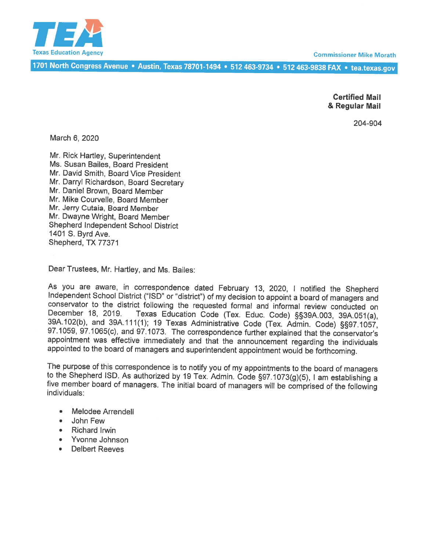

**Commissioner Mike Morath** 

<sup>7701</sup> North Congress Avenue • Austin, Texas 78701-1494 • <sup>512</sup> 463-9734 • <sup>512</sup> 463-9838 FAX • tea.texas.gov

Certified Mail & Regular Mail

204-904

March 6, 2020

Mr. Rick Hartley, Superintendent Ms. Susan Bailes, Board President Mr. David Smith, Board Vice President Mr. Darryl Richardson, Board Secretary Mr. Daniel Brown, Board Member Mr. Mike Courvelle, Board Member Mr. Jerry Cutaia, Board Member Mr. Dwayne Wright, Board Member Shepherd Independent School District 1401 S. Byrd Ave. Shepherd, TX 77371

Dear Trustees, Mr. Hartley, and Ms. Bailes:

As you are aware, in correspondence dated February 13, 2020, I notified the Shepherd Independent School District ("ISD" or "district") of my decision to appoint a board of managers and conservator to the district following 39A.102(b), and 39A.111(1); 19 Texas Administrative Code (Tex. Admin. Code) §§97.1057, 97.1065(c), and 97.1073. The correspondence further explained that the conservator's appointment was effective immediately and that the announcement regarding the individuals appointed to the board of managers and superintendent appointment would be forthcoming.

The purpose of this correspondence is to notify you of my appointments to the board of managers to the Shepherd ISD. As authorized by 19 Tex. Admin. Code §97.1073(g)(5), I am establishing a five member board of managers. T

- •Melodee Arrendell
- •John Few
- •Richard Irwin
- Yvonne Johnson
- •Delbert Reeves